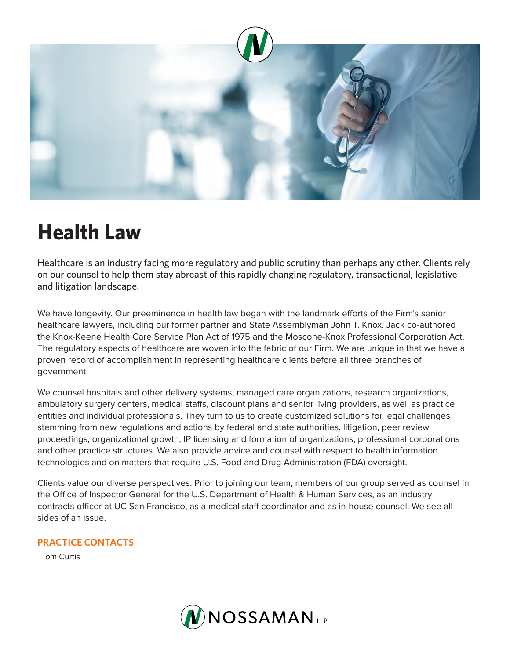

## **Health Law**

Healthcare is an industry facing more regulatory and public scrutiny than perhaps any other. Clients rely on our counsel to help them stay abreast of this rapidly changing regulatory, transactional, legislative and litigation landscape.

We have longevity. Our preeminence in health law began with the landmark efforts of the Firm's senior healthcare lawyers, including our former partner and State Assemblyman John T. Knox. Jack co-authored the Knox-Keene Health Care Service Plan Act of 1975 and the Moscone-Knox Professional Corporation Act. The regulatory aspects of healthcare are woven into the fabric of our Firm. We are unique in that we have a proven record of accomplishment in representing healthcare clients before all three branches of government.

We counsel hospitals and other delivery systems, managed care organizations, research organizations, ambulatory surgery centers, medical staffs, discount plans and senior living providers, as well as practice entities and individual professionals. They turn to us to create customized solutions for legal challenges stemming from new regulations and actions by federal and state authorities, litigation, peer review proceedings, organizational growth, IP licensing and formation of organizations, professional corporations and other practice structures. We also provide advice and counsel with respect to health information technologies and on matters that require U.S. Food and Drug Administration (FDA) oversight.

Clients value our diverse perspectives. Prior to joining our team, members of our group served as counsel in the Office of Inspector General for the U.S. Department of Health & Human Services, as an industry contracts officer at UC San Francisco, as a medical staff coordinator and as in-house counsel. We see all sides of an issue.

## **PRACTICE CONTACTS**

Tom Curtis